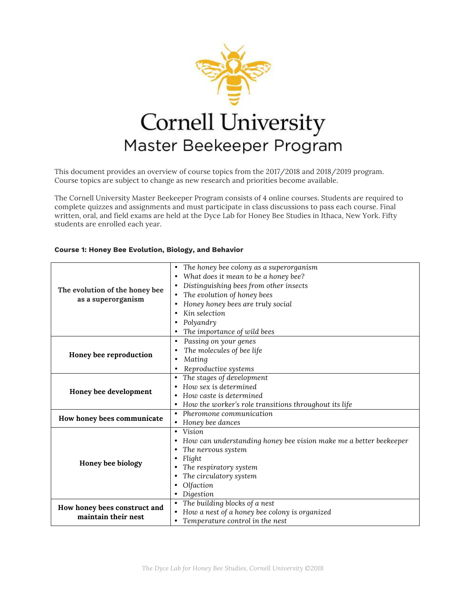

This document provides an overview of course topics from the 2017/2018 and 2018/2019 program. Course topics are subject to change as new research and priorities become available.

The Cornell University Master Beekeeper Program consists of 4 online courses. Students are required to complete quizzes and assignments and must participate in class discussions to pass each course. Final written, oral, and field exams are held at the Dyce Lab for Honey Bee Studies in Ithaca, New York. Fifty students are enrolled each year.

## **Course 1: Honey Bee Evolution, Biology, and Behavior**

| The honey bee colony as a superorganism<br>٠<br>What does it mean to be a honey bee?<br>$\bullet$<br>Distinguishing bees from other insects<br>٠<br>The evolution of the honey bee<br>The evolution of honey bees<br>$\bullet$<br>as a superorganism<br>Honey honey bees are truly social<br>Kin selection<br>Polyandry<br>The importance of wild bees<br>Passing on your genes<br>$\bullet$<br>The molecules of bee life<br>Honey bee reproduction<br>Mating<br>$\bullet$<br>Reproductive systems<br>$\bullet$<br>The stages of development<br>$\bullet$<br>How sex is determined<br>Honey bee development<br>How caste is determined<br>How the worker's role transitions throughout its life<br>Pheromone communication<br>$\bullet$<br>How honey bees communicate<br>Honey bee dances<br>$\bullet$<br>Vision<br>$\bullet$<br>How can understanding honey bee vision make me a better beekeeper<br>The nervous system<br>Flight<br>٠<br>Honey bee biology<br>The respiratory system<br>The circulatory system<br>Olfaction<br>Digestion<br>The building blocks of a nest<br>How honey bees construct and<br>How a nest of a honey bee colony is organized<br>maintain their nest<br>Temperature control in the nest |  |  |
|------------------------------------------------------------------------------------------------------------------------------------------------------------------------------------------------------------------------------------------------------------------------------------------------------------------------------------------------------------------------------------------------------------------------------------------------------------------------------------------------------------------------------------------------------------------------------------------------------------------------------------------------------------------------------------------------------------------------------------------------------------------------------------------------------------------------------------------------------------------------------------------------------------------------------------------------------------------------------------------------------------------------------------------------------------------------------------------------------------------------------------------------------------------------------------------------------------------------|--|--|
|                                                                                                                                                                                                                                                                                                                                                                                                                                                                                                                                                                                                                                                                                                                                                                                                                                                                                                                                                                                                                                                                                                                                                                                                                        |  |  |
|                                                                                                                                                                                                                                                                                                                                                                                                                                                                                                                                                                                                                                                                                                                                                                                                                                                                                                                                                                                                                                                                                                                                                                                                                        |  |  |
|                                                                                                                                                                                                                                                                                                                                                                                                                                                                                                                                                                                                                                                                                                                                                                                                                                                                                                                                                                                                                                                                                                                                                                                                                        |  |  |
|                                                                                                                                                                                                                                                                                                                                                                                                                                                                                                                                                                                                                                                                                                                                                                                                                                                                                                                                                                                                                                                                                                                                                                                                                        |  |  |
|                                                                                                                                                                                                                                                                                                                                                                                                                                                                                                                                                                                                                                                                                                                                                                                                                                                                                                                                                                                                                                                                                                                                                                                                                        |  |  |
|                                                                                                                                                                                                                                                                                                                                                                                                                                                                                                                                                                                                                                                                                                                                                                                                                                                                                                                                                                                                                                                                                                                                                                                                                        |  |  |
|                                                                                                                                                                                                                                                                                                                                                                                                                                                                                                                                                                                                                                                                                                                                                                                                                                                                                                                                                                                                                                                                                                                                                                                                                        |  |  |
|                                                                                                                                                                                                                                                                                                                                                                                                                                                                                                                                                                                                                                                                                                                                                                                                                                                                                                                                                                                                                                                                                                                                                                                                                        |  |  |
|                                                                                                                                                                                                                                                                                                                                                                                                                                                                                                                                                                                                                                                                                                                                                                                                                                                                                                                                                                                                                                                                                                                                                                                                                        |  |  |
|                                                                                                                                                                                                                                                                                                                                                                                                                                                                                                                                                                                                                                                                                                                                                                                                                                                                                                                                                                                                                                                                                                                                                                                                                        |  |  |
|                                                                                                                                                                                                                                                                                                                                                                                                                                                                                                                                                                                                                                                                                                                                                                                                                                                                                                                                                                                                                                                                                                                                                                                                                        |  |  |
|                                                                                                                                                                                                                                                                                                                                                                                                                                                                                                                                                                                                                                                                                                                                                                                                                                                                                                                                                                                                                                                                                                                                                                                                                        |  |  |
|                                                                                                                                                                                                                                                                                                                                                                                                                                                                                                                                                                                                                                                                                                                                                                                                                                                                                                                                                                                                                                                                                                                                                                                                                        |  |  |
|                                                                                                                                                                                                                                                                                                                                                                                                                                                                                                                                                                                                                                                                                                                                                                                                                                                                                                                                                                                                                                                                                                                                                                                                                        |  |  |
|                                                                                                                                                                                                                                                                                                                                                                                                                                                                                                                                                                                                                                                                                                                                                                                                                                                                                                                                                                                                                                                                                                                                                                                                                        |  |  |
|                                                                                                                                                                                                                                                                                                                                                                                                                                                                                                                                                                                                                                                                                                                                                                                                                                                                                                                                                                                                                                                                                                                                                                                                                        |  |  |
|                                                                                                                                                                                                                                                                                                                                                                                                                                                                                                                                                                                                                                                                                                                                                                                                                                                                                                                                                                                                                                                                                                                                                                                                                        |  |  |
|                                                                                                                                                                                                                                                                                                                                                                                                                                                                                                                                                                                                                                                                                                                                                                                                                                                                                                                                                                                                                                                                                                                                                                                                                        |  |  |
|                                                                                                                                                                                                                                                                                                                                                                                                                                                                                                                                                                                                                                                                                                                                                                                                                                                                                                                                                                                                                                                                                                                                                                                                                        |  |  |
|                                                                                                                                                                                                                                                                                                                                                                                                                                                                                                                                                                                                                                                                                                                                                                                                                                                                                                                                                                                                                                                                                                                                                                                                                        |  |  |
|                                                                                                                                                                                                                                                                                                                                                                                                                                                                                                                                                                                                                                                                                                                                                                                                                                                                                                                                                                                                                                                                                                                                                                                                                        |  |  |
|                                                                                                                                                                                                                                                                                                                                                                                                                                                                                                                                                                                                                                                                                                                                                                                                                                                                                                                                                                                                                                                                                                                                                                                                                        |  |  |
|                                                                                                                                                                                                                                                                                                                                                                                                                                                                                                                                                                                                                                                                                                                                                                                                                                                                                                                                                                                                                                                                                                                                                                                                                        |  |  |
|                                                                                                                                                                                                                                                                                                                                                                                                                                                                                                                                                                                                                                                                                                                                                                                                                                                                                                                                                                                                                                                                                                                                                                                                                        |  |  |
|                                                                                                                                                                                                                                                                                                                                                                                                                                                                                                                                                                                                                                                                                                                                                                                                                                                                                                                                                                                                                                                                                                                                                                                                                        |  |  |
|                                                                                                                                                                                                                                                                                                                                                                                                                                                                                                                                                                                                                                                                                                                                                                                                                                                                                                                                                                                                                                                                                                                                                                                                                        |  |  |
|                                                                                                                                                                                                                                                                                                                                                                                                                                                                                                                                                                                                                                                                                                                                                                                                                                                                                                                                                                                                                                                                                                                                                                                                                        |  |  |
|                                                                                                                                                                                                                                                                                                                                                                                                                                                                                                                                                                                                                                                                                                                                                                                                                                                                                                                                                                                                                                                                                                                                                                                                                        |  |  |
|                                                                                                                                                                                                                                                                                                                                                                                                                                                                                                                                                                                                                                                                                                                                                                                                                                                                                                                                                                                                                                                                                                                                                                                                                        |  |  |
|                                                                                                                                                                                                                                                                                                                                                                                                                                                                                                                                                                                                                                                                                                                                                                                                                                                                                                                                                                                                                                                                                                                                                                                                                        |  |  |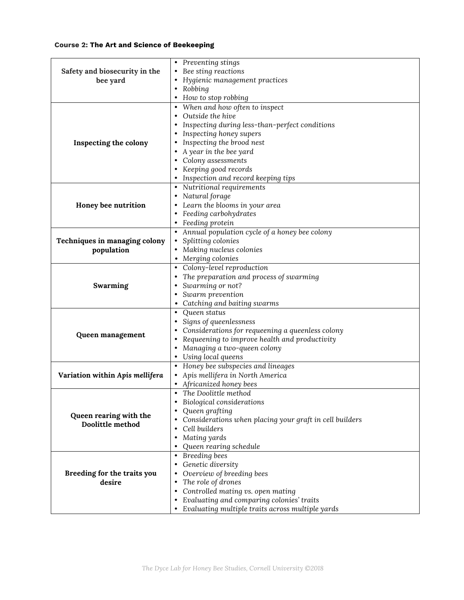## **Course 2: The Art and Science of Beekeeping**

|                                 | Preventing stings<br>٠                                  |
|---------------------------------|---------------------------------------------------------|
| Safety and biosecurity in the   | Bee sting reactions                                     |
| bee yard                        | Hygienic management practices                           |
|                                 | Robbing                                                 |
|                                 | How to stop robbing                                     |
|                                 | When and how often to inspect                           |
|                                 | Outside the hive                                        |
|                                 | Inspecting during less-than-perfect conditions          |
|                                 | Inspecting honey supers                                 |
| Inspecting the colony           | Inspecting the brood nest                               |
|                                 | A year in the bee yard                                  |
|                                 | Colony assessments                                      |
|                                 | Keeping good records                                    |
|                                 | Inspection and record keeping tips                      |
|                                 | Nutritional requirements<br>٠                           |
|                                 | Natural forage<br>٠                                     |
| Honey bee nutrition             | Learn the blooms in your area                           |
|                                 | Feeding carbohydrates                                   |
|                                 | Feeding protein                                         |
|                                 | Annual population cycle of a honey bee colony           |
| Techniques in managing colony   | Splitting colonies                                      |
| population                      | Making nucleus colonies                                 |
|                                 | Merging colonies                                        |
|                                 | Colony-level reproduction                               |
|                                 | The preparation and process of swarming                 |
| Swarming                        | Swarming or not?<br>٠                                   |
|                                 | Swarm prevention                                        |
|                                 | Catching and baiting swarms                             |
|                                 | Queen status<br>$\bullet$                               |
|                                 | Signs of queenlessness                                  |
|                                 | Considerations for requeening a queenless colony        |
| Queen management                | Requeening to improve health and productivity           |
|                                 | Managing a two-queen colony                             |
|                                 | Using local queens                                      |
|                                 | Honey bee subspecies and lineages                       |
| Variation within Apis mellifera | Apis mellifera in North America                         |
|                                 | Africanized honey bees                                  |
|                                 | The Doolittle method<br>$\bullet$                       |
|                                 | Biological considerations                               |
|                                 | Queen grafting                                          |
| Queen rearing with the          | Considerations when placing your graft in cell builders |
| Doolittle method                | Cell builders                                           |
|                                 | Mating yards                                            |
|                                 | Queen rearing schedule                                  |
|                                 | Breeding bees<br>$\bullet$                              |
|                                 | Genetic diversity                                       |
| Breeding for the traits you     | Overview of breeding bees                               |
| desire                          | The role of drones                                      |
|                                 | Controlled mating vs. open mating<br>$\bullet$          |
|                                 | Evaluating and comparing colonies' traits               |
|                                 | Evaluating multiple traits across multiple yards        |
|                                 |                                                         |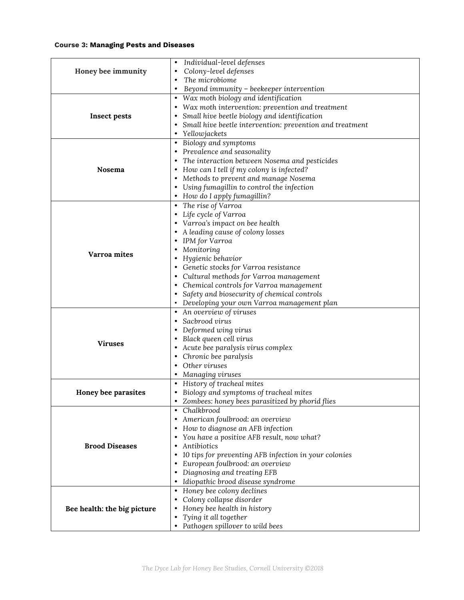## **Course 3: Managing Pests and Diseases**

|                             | Individual-level defenses<br>$\bullet$                       |
|-----------------------------|--------------------------------------------------------------|
| Honey bee immunity          | Colony-level defenses<br>$\bullet$                           |
|                             | The microbiome<br>$\bullet$                                  |
|                             | Beyond immunity - beekeeper intervention<br>$\bullet$        |
|                             | Wax moth biology and identification<br>$\bullet$             |
|                             | Wax moth intervention: prevention and treatment<br>$\bullet$ |
| <b>Insect pests</b>         | Small hive beetle biology and identification<br>$\bullet$    |
|                             | Small hive beetle intervention: prevention and treatment     |
|                             | Yellowjackets<br>٠                                           |
|                             | Biology and symptoms                                         |
|                             | Prevalence and seasonality<br>٠                              |
|                             | The interaction between Nosema and pesticides<br>٠           |
| Nosema                      | How can I tell if my colony is infected?<br>٠                |
|                             | Methods to prevent and manage Nosema<br>٠                    |
|                             | Using fumagillin to control the infection                    |
|                             | How do I apply fumagillin?                                   |
|                             | The rise of Varroa<br>$\bullet$                              |
|                             | Life cycle of Varroa<br>٠                                    |
|                             | Varroa's impact on bee health                                |
|                             | A leading cause of colony losses<br>٠<br>IPM for Varroa      |
| Varroa mites                | Monitoring                                                   |
|                             | Hygienic behavior<br>٠                                       |
|                             | Genetic stocks for Varroa resistance<br>٠                    |
|                             | Cultural methods for Varroa management<br>٠                  |
|                             | Chemical controls for Varroa management                      |
|                             | Safety and biosecurity of chemical controls                  |
|                             | Developing your own Varroa management plan                   |
|                             | An overview of viruses<br>$\bullet$                          |
|                             | Sacbrood virus<br>$\bullet$                                  |
|                             | Deformed wing virus                                          |
|                             | Black queen cell virus<br>$\bullet$                          |
| <b>Viruses</b>              | Acute bee paralysis virus complex<br>$\bullet$               |
|                             | Chronic bee paralysis<br>$\bullet$                           |
|                             | Other viruses<br>٠                                           |
|                             | Managing viruses<br>٠                                        |
|                             | History of tracheal mites<br>$\bullet$                       |
| Honey bee parasites         | Biology and symptoms of tracheal mites<br>$\bullet$          |
|                             | • Zombees: honey bees parasitized by phorid flies            |
|                             | Chalkbrood<br>$\bullet$                                      |
|                             | American foulbrood: an overview<br>٠                         |
|                             | How to diagnose an AFB infection<br>٠                        |
|                             | You have a positive AFB result, now what?                    |
| <b>Brood Diseases</b>       | Antibiotics                                                  |
|                             | 10 tips for preventing AFB infection in your colonies        |
|                             | European foulbrood: an overview                              |
|                             | Diagnosing and treating EFB                                  |
|                             | Idiopathic brood disease syndrome                            |
|                             | Honey bee colony declines<br>٠                               |
|                             | Colony collapse disorder                                     |
| Bee health: the big picture | Honey bee health in history                                  |
|                             | Tying it all together                                        |
|                             | Pathogen spillover to wild bees                              |